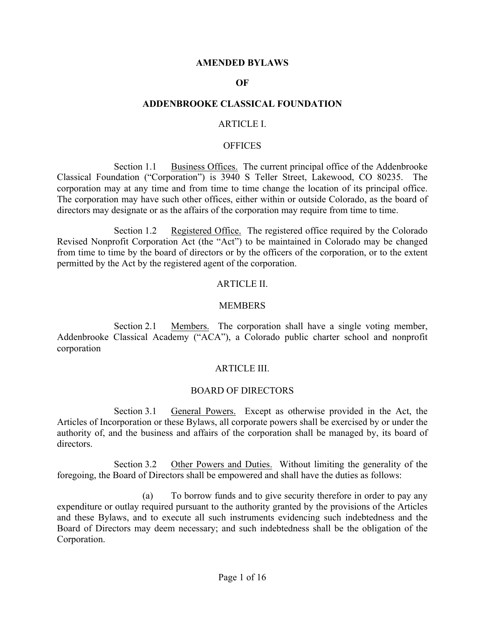### **AMENDED BYLAWS**

### **OF**

### **ADDENBROOKE CLASSICAL FOUNDATION**

### ARTICLE I.

### **OFFICES**

Section 1.1 Business Offices. The current principal office of the Addenbrooke Classical Foundation ("Corporation") is 3940 S Teller Street, Lakewood, CO 80235. The corporation may at any time and from time to time change the location of its principal office. The corporation may have such other offices, either within or outside Colorado, as the board of directors may designate or as the affairs of the corporation may require from time to time.

Section 1.2 Registered Office. The registered office required by the Colorado Revised Nonprofit Corporation Act (the "Act") to be maintained in Colorado may be changed from time to time by the board of directors or by the officers of the corporation, or to the extent permitted by the Act by the registered agent of the corporation.

### ARTICLE II.

### **MEMBERS**

Section 2.1 Members. The corporation shall have a single voting member, Addenbrooke Classical Academy ("ACA"), a Colorado public charter school and nonprofit corporation

### ARTICLE III.

### BOARD OF DIRECTORS

Section 3.1 General Powers. Except as otherwise provided in the Act, the Articles of Incorporation or these Bylaws, all corporate powers shall be exercised by or under the authority of, and the business and affairs of the corporation shall be managed by, its board of directors.

Section 3.2 Other Powers and Duties. Without limiting the generality of the foregoing, the Board of Directors shall be empowered and shall have the duties as follows:

(a) To borrow funds and to give security therefore in order to pay any expenditure or outlay required pursuant to the authority granted by the provisions of the Articles and these Bylaws, and to execute all such instruments evidencing such indebtedness and the Board of Directors may deem necessary; and such indebtedness shall be the obligation of the Corporation.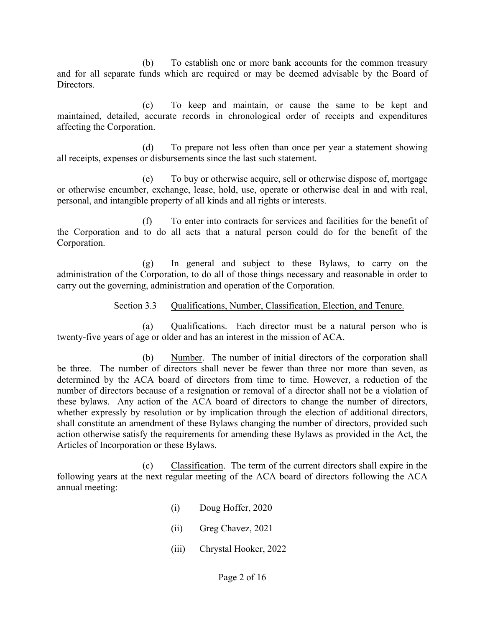(b) To establish one or more bank accounts for the common treasury and for all separate funds which are required or may be deemed advisable by the Board of Directors.

(c) To keep and maintain, or cause the same to be kept and maintained, detailed, accurate records in chronological order of receipts and expenditures affecting the Corporation.

(d) To prepare not less often than once per year a statement showing all receipts, expenses or disbursements since the last such statement.

(e) To buy or otherwise acquire, sell or otherwise dispose of, mortgage or otherwise encumber, exchange, lease, hold, use, operate or otherwise deal in and with real, personal, and intangible property of all kinds and all rights or interests.

(f) To enter into contracts for services and facilities for the benefit of the Corporation and to do all acts that a natural person could do for the benefit of the Corporation.

(g) In general and subject to these Bylaws, to carry on the administration of the Corporation, to do all of those things necessary and reasonable in order to carry out the governing, administration and operation of the Corporation.

Section 3.3 Oualifications, Number, Classification, Election, and Tenure.

(a) Qualifications. Each director must be a natural person who is twenty-five years of age or older and has an interest in the mission of ACA.

(b) Number. The number of initial directors of the corporation shall be three.The number of directors shall never be fewer than three nor more than seven, as determined by the ACA board of directors from time to time. However, a reduction of the number of directors because of a resignation or removal of a director shall not be a violation of these bylaws. Any action of the ACA board of directors to change the number of directors, whether expressly by resolution or by implication through the election of additional directors, shall constitute an amendment of these Bylaws changing the number of directors, provided such action otherwise satisfy the requirements for amending these Bylaws as provided in the Act, the Articles of Incorporation or these Bylaws.

(c) Classification. The term of the current directors shall expire in the following years at the next regular meeting of the ACA board of directors following the ACA annual meeting:

- (i) Doug Hoffer, 2020
- (ii) Greg Chavez, 2021
- (iii) Chrystal Hooker, 2022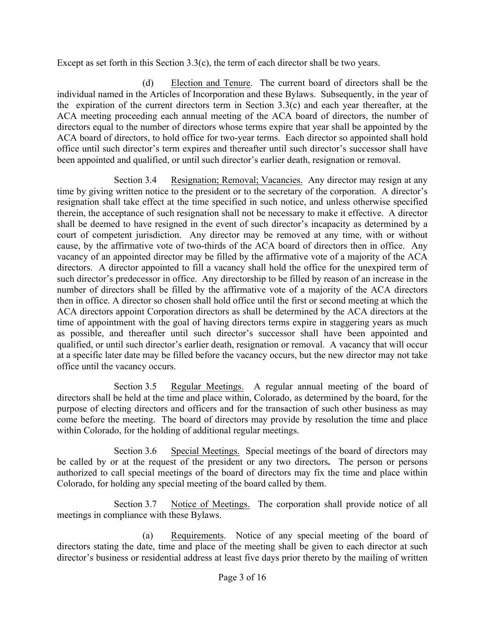Except as set forth in this Section 3.3(c), the term of each director shall be two years.

(d) Election and Tenure. The current board of directors shall be the individual named in the Articles of Incorporation and these Bylaws. Subsequently, in the year of the expiration of the current directors term in Section 3.3(c) and each year thereafter, at the ACA meeting proceeding each annual meeting of the ACA board of directors, the number of directors equal to the number of directors whose terms expire that year shall be appointed by the ACA board of directors, to hold office for two-year terms. Each director so appointed shall hold office until such director's term expires and thereafter until such director's successor shall have been appointed and qualified, or until such director's earlier death, resignation or removal.

Section 3.4 Resignation; Removal; Vacancies. Any director may resign at any time by giving written notice to the president or to the secretary of the corporation. A director's resignation shall take effect at the time specified in such notice, and unless otherwise specified therein, the acceptance of such resignation shall not be necessary to make it effective. A director shall be deemed to have resigned in the event of such director's incapacity as determined by a court of competent jurisdiction. Any director may be removed at any time, with or without cause, by the affirmative vote of two-thirds of the ACA board of directors then in office. Any vacancy of an appointed director may be filled by the affirmative vote of a majority of the ACA directors. A director appointed to fill a vacancy shall hold the office for the unexpired term of such director's predecessor in office. Any directorship to be filled by reason of an increase in the number of directors shall be filled by the affirmative vote of a majority of the ACA directors then in office. A director so chosen shall hold office until the first or second meeting at which the ACA directors appoint Corporation directors as shall be determined by the ACA directors at the time of appointment with the goal of having directors terms expire in staggering years as much as possible, and thereafter until such director's successor shall have been appointed and qualified, or until such director's earlier death, resignation or removal. A vacancy that will occur at a specific later date may be filled before the vacancy occurs, but the new director may not take office until the vacancy occurs.

Section 3.5 Regular Meetings. A regular annual meeting of the board of directors shall be held at the time and place within, Colorado, as determined by the board, for the purpose of electing directors and officers and for the transaction of such other business as may come before the meeting. The board of directors may provide by resolution the time and place within Colorado, for the holding of additional regular meetings.

Section 3.6 Special Meetings. Special meetings of the board of directors may be called by or at the request of the president or any two directors**.** The person or persons authorized to call special meetings of the board of directors may fix the time and place within Colorado, for holding any special meeting of the board called by them.

Section 3.7 Notice of Meetings. The corporation shall provide notice of all meetings in compliance with these Bylaws.

(a) Requirements. Notice of any special meeting of the board of directors stating the date, time and place of the meeting shall be given to each director at such director's business or residential address at least five days prior thereto by the mailing of written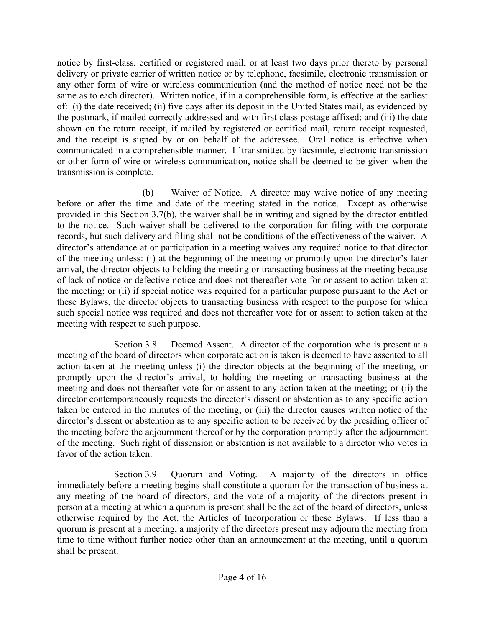notice by first-class, certified or registered mail, or at least two days prior thereto by personal delivery or private carrier of written notice or by telephone, facsimile, electronic transmission or any other form of wire or wireless communication (and the method of notice need not be the same as to each director). Written notice, if in a comprehensible form, is effective at the earliest of: (i) the date received; (ii) five days after its deposit in the United States mail, as evidenced by the postmark, if mailed correctly addressed and with first class postage affixed; and (iii) the date shown on the return receipt, if mailed by registered or certified mail, return receipt requested, and the receipt is signed by or on behalf of the addressee. Oral notice is effective when communicated in a comprehensible manner. If transmitted by facsimile, electronic transmission or other form of wire or wireless communication, notice shall be deemed to be given when the transmission is complete.

(b) Waiver of Notice. A director may waive notice of any meeting before or after the time and date of the meeting stated in the notice. Except as otherwise provided in this Section 3.7(b), the waiver shall be in writing and signed by the director entitled to the notice. Such waiver shall be delivered to the corporation for filing with the corporate records, but such delivery and filing shall not be conditions of the effectiveness of the waiver. A director's attendance at or participation in a meeting waives any required notice to that director of the meeting unless: (i) at the beginning of the meeting or promptly upon the director's later arrival, the director objects to holding the meeting or transacting business at the meeting because of lack of notice or defective notice and does not thereafter vote for or assent to action taken at the meeting; or (ii) if special notice was required for a particular purpose pursuant to the Act or these Bylaws, the director objects to transacting business with respect to the purpose for which such special notice was required and does not thereafter vote for or assent to action taken at the meeting with respect to such purpose.

Section 3.8 Deemed Assent. A director of the corporation who is present at a meeting of the board of directors when corporate action is taken is deemed to have assented to all action taken at the meeting unless (i) the director objects at the beginning of the meeting, or promptly upon the director's arrival, to holding the meeting or transacting business at the meeting and does not thereafter vote for or assent to any action taken at the meeting; or (ii) the director contemporaneously requests the director's dissent or abstention as to any specific action taken be entered in the minutes of the meeting; or (iii) the director causes written notice of the director's dissent or abstention as to any specific action to be received by the presiding officer of the meeting before the adjournment thereof or by the corporation promptly after the adjournment of the meeting. Such right of dissension or abstention is not available to a director who votes in favor of the action taken.

Section 3.9 Quorum and Voting. A majority of the directors in office immediately before a meeting begins shall constitute a quorum for the transaction of business at any meeting of the board of directors, and the vote of a majority of the directors present in person at a meeting at which a quorum is present shall be the act of the board of directors, unless otherwise required by the Act, the Articles of Incorporation or these Bylaws. If less than a quorum is present at a meeting, a majority of the directors present may adjourn the meeting from time to time without further notice other than an announcement at the meeting, until a quorum shall be present.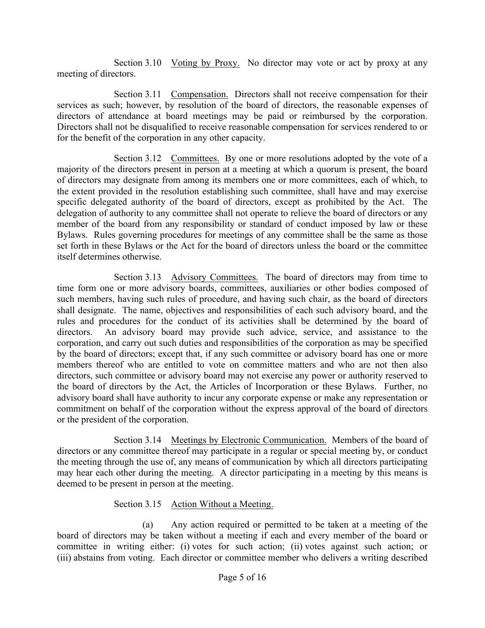Section 3.10 Voting by Proxy. No director may vote or act by proxy at any meeting of directors.

Section 3.11 Compensation. Directors shall not receive compensation for their services as such; however, by resolution of the board of directors, the reasonable expenses of directors of attendance at board meetings may be paid or reimbursed by the corporation. Directors shall not be disqualified to receive reasonable compensation for services rendered to or for the benefit of the corporation in any other capacity.

Section 3.12 Committees. By one or more resolutions adopted by the vote of a majority of the directors present in person at a meeting at which a quorum is present, the board of directors may designate from among its members one or more committees, each of which, to the extent provided in the resolution establishing such committee, shall have and may exercise specific delegated authority of the board of directors, except as prohibited by the Act. The delegation of authority to any committee shall not operate to relieve the board of directors or any member of the board from any responsibility or standard of conduct imposed by law or these Bylaws. Rules governing procedures for meetings of any committee shall be the same as those set forth in these Bylaws or the Act for the board of directors unless the board or the committee itself determines otherwise.

Section 3.13 Advisory Committees. The board of directors may from time to time form one or more advisory boards, committees, auxiliaries or other bodies composed of such members, having such rules of procedure, and having such chair, as the board of directors shall designate. The name, objectives and responsibilities of each such advisory board, and the rules and procedures for the conduct of its activities shall be determined by the board of directors. An advisory board may provide such advice, service, and assistance to the corporation, and carry out such duties and responsibilities of the corporation as may be specified by the board of directors; except that, if any such committee or advisory board has one or more members thereof who are entitled to vote on committee matters and who are not then also directors, such committee or advisory board may not exercise any power or authority reserved to the board of directors by the Act, the Articles of Incorporation or these Bylaws. Further, no advisory board shall have authority to incur any corporate expense or make any representation or commitment on behalf of the corporation without the express approval of the board of directors or the president of the corporation.

Section 3.14 Meetings by Electronic Communication. Members of the board of directors or any committee thereof may participate in a regular or special meeting by, or conduct the meeting through the use of, any means of communication by which all directors participating may hear each other during the meeting. A director participating in a meeting by this means is deemed to be present in person at the meeting.

# Section 3.15 Action Without a Meeting.

(a) Any action required or permitted to be taken at a meeting of the board of directors may be taken without a meeting if each and every member of the board or committee in writing either: (i) votes for such action; (ii) votes against such action; or (iii) abstains from voting. Each director or committee member who delivers a writing described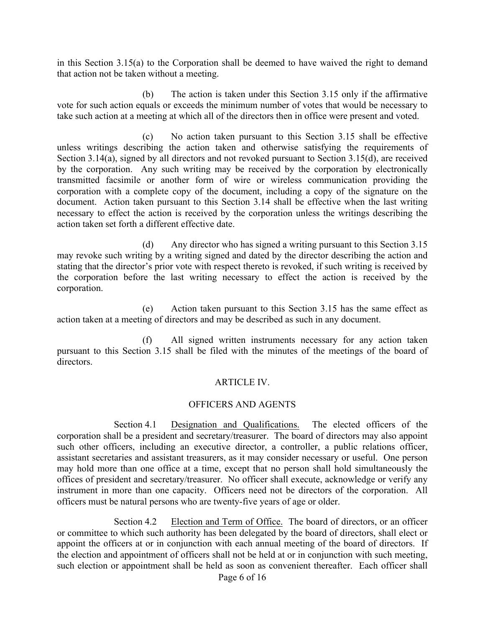in this Section  $3.15(a)$  to the Corporation shall be deemed to have waived the right to demand that action not be taken without a meeting.

(b) The action is taken under this Section 3.15 only if the affirmative vote for such action equals or exceeds the minimum number of votes that would be necessary to take such action at a meeting at which all of the directors then in office were present and voted.

(c) No action taken pursuant to this Section 3.15 shall be effective unless writings describing the action taken and otherwise satisfying the requirements of Section 3.14(a), signed by all directors and not revoked pursuant to Section 3.15(d), are received by the corporation. Any such writing may be received by the corporation by electronically transmitted facsimile or another form of wire or wireless communication providing the corporation with a complete copy of the document, including a copy of the signature on the document. Action taken pursuant to this Section 3.14 shall be effective when the last writing necessary to effect the action is received by the corporation unless the writings describing the action taken set forth a different effective date.

(d) Any director who has signed a writing pursuant to this Section 3.15 may revoke such writing by a writing signed and dated by the director describing the action and stating that the director's prior vote with respect thereto is revoked, if such writing is received by the corporation before the last writing necessary to effect the action is received by the corporation.

(e) Action taken pursuant to this Section 3.15 has the same effect as action taken at a meeting of directors and may be described as such in any document.

(f) All signed written instruments necessary for any action taken pursuant to this Section 3.15 shall be filed with the minutes of the meetings of the board of directors.

## ARTICLE IV.

### OFFICERS AND AGENTS

Section 4.1 Designation and Qualifications. The elected officers of the corporation shall be a president and secretary/treasurer. The board of directors may also appoint such other officers, including an executive director, a controller, a public relations officer, assistant secretaries and assistant treasurers, as it may consider necessary or useful. One person may hold more than one office at a time, except that no person shall hold simultaneously the offices of president and secretary/treasurer. No officer shall execute, acknowledge or verify any instrument in more than one capacity. Officers need not be directors of the corporation. All officers must be natural persons who are twenty-five years of age or older.

Section 4.2 Election and Term of Office. The board of directors, or an officer or committee to which such authority has been delegated by the board of directors, shall elect or appoint the officers at or in conjunction with each annual meeting of the board of directors. If the election and appointment of officers shall not be held at or in conjunction with such meeting, such election or appointment shall be held as soon as convenient thereafter. Each officer shall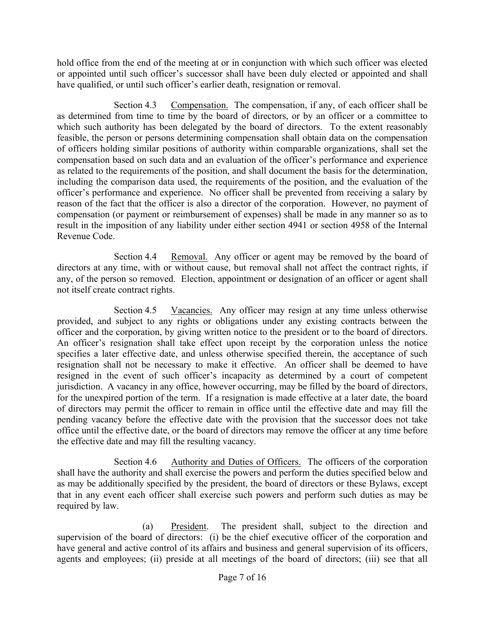hold office from the end of the meeting at or in conjunction with which such officer was elected or appointed until such officer's successor shall have been duly elected or appointed and shall have qualified, or until such officer's earlier death, resignation or removal.

Section 4.3 Compensation. The compensation, if any, of each officer shall be as determined from time to time by the board of directors, or by an officer or a committee to which such authority has been delegated by the board of directors. To the extent reasonably feasible, the person or persons determining compensation shall obtain data on the compensation of officers holding similar positions of authority within comparable organizations, shall set the compensation based on such data and an evaluation of the officer's performance and experience as related to the requirements of the position, and shall document the basis for the determination, including the comparison data used, the requirements of the position, and the evaluation of the officer's performance and experience. No officer shall be prevented from receiving a salary by reason of the fact that the officer is also a director of the corporation. However, no payment of compensation (or payment or reimbursement of expenses) shall be made in any manner so as to result in the imposition of any liability under either section 4941 or section 4958 of the Internal Revenue Code.

Section 4.4 Removal. Any officer or agent may be removed by the board of directors at any time, with or without cause, but removal shall not affect the contract rights, if any, of the person so removed. Election, appointment or designation of an officer or agent shall not itself create contract rights.

Section 4.5 Vacancies. Any officer may resign at any time unless otherwise provided, and subject to any rights or obligations under any existing contracts between the officer and the corporation, by giving written notice to the president or to the board of directors. An officer's resignation shall take effect upon receipt by the corporation unless the notice specifies a later effective date, and unless otherwise specified therein, the acceptance of such resignation shall not be necessary to make it effective. An officer shall be deemed to have resigned in the event of such officer's incapacity as determined by a court of competent jurisdiction. A vacancy in any office, however occurring, may be filled by the board of directors, for the unexpired portion of the term. If a resignation is made effective at a later date, the board of directors may permit the officer to remain in office until the effective date and may fill the pending vacancy before the effective date with the provision that the successor does not take office until the effective date, or the board of directors may remove the officer at any time before the effective date and may fill the resulting vacancy.

Section 4.6 Authority and Duties of Officers. The officers of the corporation shall have the authority and shall exercise the powers and perform the duties specified below and as may be additionally specified by the president, the board of directors or these Bylaws, except that in any event each officer shall exercise such powers and perform such duties as may be required by law.

(a) President. The president shall, subject to the direction and supervision of the board of directors: (i) be the chief executive officer of the corporation and have general and active control of its affairs and business and general supervision of its officers, agents and employees; (ii) preside at all meetings of the board of directors; (iii) see that all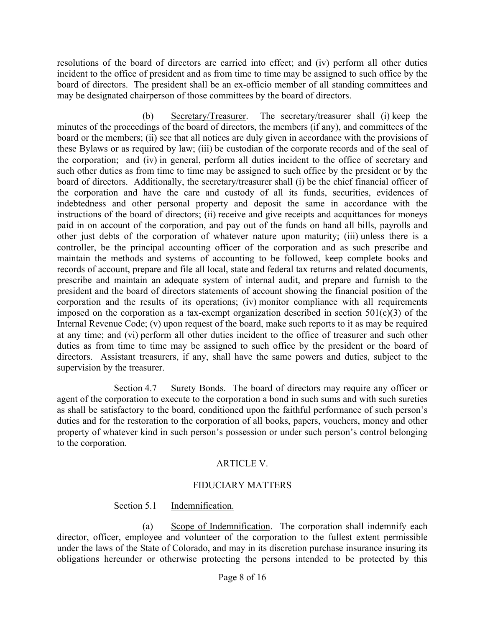resolutions of the board of directors are carried into effect; and (iv) perform all other duties incident to the office of president and as from time to time may be assigned to such office by the board of directors. The president shall be an ex-officio member of all standing committees and may be designated chairperson of those committees by the board of directors.

(b) Secretary/Treasurer. The secretary/treasurer shall (i) keep the minutes of the proceedings of the board of directors, the members (if any), and committees of the board or the members; (ii) see that all notices are duly given in accordance with the provisions of these Bylaws or as required by law; (iii) be custodian of the corporate records and of the seal of the corporation; and (iv) in general, perform all duties incident to the office of secretary and such other duties as from time to time may be assigned to such office by the president or by the board of directors. Additionally, the secretary/treasurer shall (i) be the chief financial officer of the corporation and have the care and custody of all its funds, securities, evidences of indebtedness and other personal property and deposit the same in accordance with the instructions of the board of directors; (ii) receive and give receipts and acquittances for moneys paid in on account of the corporation, and pay out of the funds on hand all bills, payrolls and other just debts of the corporation of whatever nature upon maturity; (iii) unless there is a controller, be the principal accounting officer of the corporation and as such prescribe and maintain the methods and systems of accounting to be followed, keep complete books and records of account, prepare and file all local, state and federal tax returns and related documents, prescribe and maintain an adequate system of internal audit, and prepare and furnish to the president and the board of directors statements of account showing the financial position of the corporation and the results of its operations; (iv) monitor compliance with all requirements imposed on the corporation as a tax-exempt organization described in section  $501(c)(3)$  of the Internal Revenue Code; (v) upon request of the board, make such reports to it as may be required at any time; and (vi) perform all other duties incident to the office of treasurer and such other duties as from time to time may be assigned to such office by the president or the board of directors. Assistant treasurers, if any, shall have the same powers and duties, subject to the supervision by the treasurer.

Section 4.7 Surety Bonds. The board of directors may require any officer or agent of the corporation to execute to the corporation a bond in such sums and with such sureties as shall be satisfactory to the board, conditioned upon the faithful performance of such person's duties and for the restoration to the corporation of all books, papers, vouchers, money and other property of whatever kind in such person's possession or under such person's control belonging to the corporation.

# ARTICLE V.

# FIDUCIARY MATTERS

## Section 5.1 Indemnification.

(a) Scope of Indemnification. The corporation shall indemnify each director, officer, employee and volunteer of the corporation to the fullest extent permissible under the laws of the State of Colorado, and may in its discretion purchase insurance insuring its obligations hereunder or otherwise protecting the persons intended to be protected by this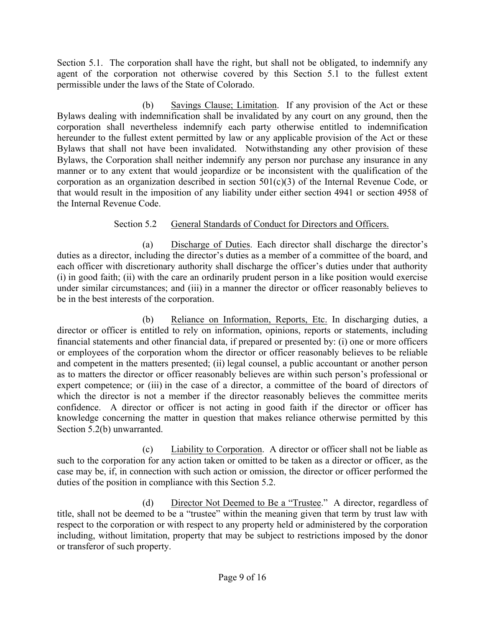Section 5.1. The corporation shall have the right, but shall not be obligated, to indemnify any agent of the corporation not otherwise covered by this Section 5.1 to the fullest extent permissible under the laws of the State of Colorado.

(b) Savings Clause; Limitation. If any provision of the Act or these Bylaws dealing with indemnification shall be invalidated by any court on any ground, then the corporation shall nevertheless indemnify each party otherwise entitled to indemnification hereunder to the fullest extent permitted by law or any applicable provision of the Act or these Bylaws that shall not have been invalidated. Notwithstanding any other provision of these Bylaws, the Corporation shall neither indemnify any person nor purchase any insurance in any manner or to any extent that would jeopardize or be inconsistent with the qualification of the corporation as an organization described in section 501(c)(3) of the Internal Revenue Code, or that would result in the imposition of any liability under either section 4941 or section 4958 of the Internal Revenue Code.

# Section 5.2 General Standards of Conduct for Directors and Officers.

(a) Discharge of Duties. Each director shall discharge the director's duties as a director, including the director's duties as a member of a committee of the board, and each officer with discretionary authority shall discharge the officer's duties under that authority (i) in good faith; (ii) with the care an ordinarily prudent person in a like position would exercise under similar circumstances; and (iii) in a manner the director or officer reasonably believes to be in the best interests of the corporation.

(b) Reliance on Information, Reports, Etc. In discharging duties, a director or officer is entitled to rely on information, opinions, reports or statements, including financial statements and other financial data, if prepared or presented by: (i) one or more officers or employees of the corporation whom the director or officer reasonably believes to be reliable and competent in the matters presented; (ii) legal counsel, a public accountant or another person as to matters the director or officer reasonably believes are within such person's professional or expert competence; or (iii) in the case of a director, a committee of the board of directors of which the director is not a member if the director reasonably believes the committee merits confidence. A director or officer is not acting in good faith if the director or officer has knowledge concerning the matter in question that makes reliance otherwise permitted by this Section 5.2(b) unwarranted.

(c) Liability to Corporation. A director or officer shall not be liable as such to the corporation for any action taken or omitted to be taken as a director or officer, as the case may be, if, in connection with such action or omission, the director or officer performed the duties of the position in compliance with this Section 5.2.

(d) Director Not Deemed to Be a "Trustee." A director, regardless of title, shall not be deemed to be a "trustee" within the meaning given that term by trust law with respect to the corporation or with respect to any property held or administered by the corporation including, without limitation, property that may be subject to restrictions imposed by the donor or transferor of such property.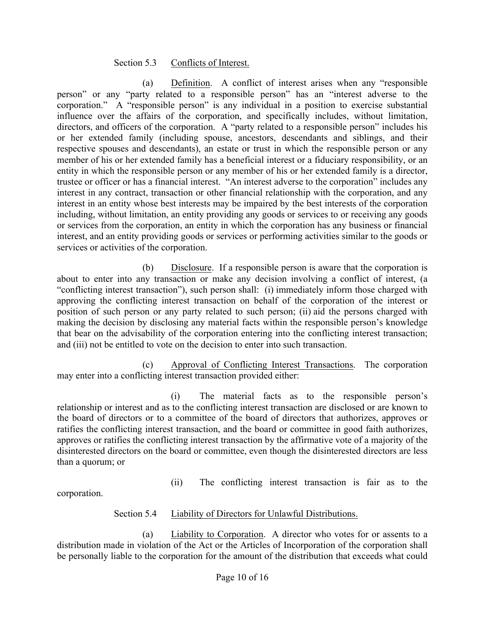## Section 5.3 Conflicts of Interest.

(a) Definition. A conflict of interest arises when any "responsible person" or any "party related to a responsible person" has an "interest adverse to the corporation." A "responsible person" is any individual in a position to exercise substantial influence over the affairs of the corporation, and specifically includes, without limitation, directors, and officers of the corporation. A "party related to a responsible person" includes his or her extended family (including spouse, ancestors, descendants and siblings, and their respective spouses and descendants), an estate or trust in which the responsible person or any member of his or her extended family has a beneficial interest or a fiduciary responsibility, or an entity in which the responsible person or any member of his or her extended family is a director, trustee or officer or has a financial interest. "An interest adverse to the corporation" includes any interest in any contract, transaction or other financial relationship with the corporation, and any interest in an entity whose best interests may be impaired by the best interests of the corporation including, without limitation, an entity providing any goods or services to or receiving any goods or services from the corporation, an entity in which the corporation has any business or financial interest, and an entity providing goods or services or performing activities similar to the goods or services or activities of the corporation.

(b) Disclosure. If a responsible person is aware that the corporation is about to enter into any transaction or make any decision involving a conflict of interest, (a "conflicting interest transaction"), such person shall: (i) immediately inform those charged with approving the conflicting interest transaction on behalf of the corporation of the interest or position of such person or any party related to such person; (ii) aid the persons charged with making the decision by disclosing any material facts within the responsible person's knowledge that bear on the advisability of the corporation entering into the conflicting interest transaction; and (iii) not be entitled to vote on the decision to enter into such transaction.

(c) Approval of Conflicting Interest Transactions. The corporation may enter into a conflicting interest transaction provided either:

(i) The material facts as to the responsible person's relationship or interest and as to the conflicting interest transaction are disclosed or are known to the board of directors or to a committee of the board of directors that authorizes, approves or ratifies the conflicting interest transaction, and the board or committee in good faith authorizes, approves or ratifies the conflicting interest transaction by the affirmative vote of a majority of the disinterested directors on the board or committee, even though the disinterested directors are less than a quorum; or

(ii) The conflicting interest transaction is fair as to the

corporation.

# Section 5.4 Liability of Directors for Unlawful Distributions.

(a) Liability to Corporation. A director who votes for or assents to a distribution made in violation of the Act or the Articles of Incorporation of the corporation shall be personally liable to the corporation for the amount of the distribution that exceeds what could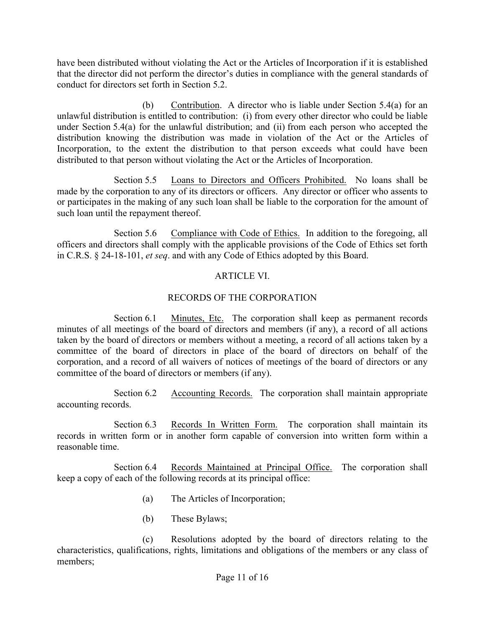have been distributed without violating the Act or the Articles of Incorporation if it is established that the director did not perform the director's duties in compliance with the general standards of conduct for directors set forth in Section 5.2.

(b) Contribution. A director who is liable under Section 5.4(a) for an unlawful distribution is entitled to contribution: (i) from every other director who could be liable under Section 5.4(a) for the unlawful distribution; and (ii) from each person who accepted the distribution knowing the distribution was made in violation of the Act or the Articles of Incorporation, to the extent the distribution to that person exceeds what could have been distributed to that person without violating the Act or the Articles of Incorporation.

Section 5.5 Loans to Directors and Officers Prohibited. No loans shall be made by the corporation to any of its directors or officers. Any director or officer who assents to or participates in the making of any such loan shall be liable to the corporation for the amount of such loan until the repayment thereof.

Section 5.6 Compliance with Code of Ethics. In addition to the foregoing, all officers and directors shall comply with the applicable provisions of the Code of Ethics set forth in C.R.S. § 24-18-101, *et seq*. and with any Code of Ethics adopted by this Board.

# ARTICLE VI.

## RECORDS OF THE CORPORATION

Section 6.1 Minutes, Etc. The corporation shall keep as permanent records minutes of all meetings of the board of directors and members (if any), a record of all actions taken by the board of directors or members without a meeting, a record of all actions taken by a committee of the board of directors in place of the board of directors on behalf of the corporation, and a record of all waivers of notices of meetings of the board of directors or any committee of the board of directors or members (if any).

Section 6.2 Accounting Records. The corporation shall maintain appropriate accounting records.

Section 6.3 Records In Written Form. The corporation shall maintain its records in written form or in another form capable of conversion into written form within a reasonable time.

Section 6.4 Records Maintained at Principal Office. The corporation shall keep a copy of each of the following records at its principal office:

- (a) The Articles of Incorporation;
- (b) These Bylaws;

(c) Resolutions adopted by the board of directors relating to the characteristics, qualifications, rights, limitations and obligations of the members or any class of members;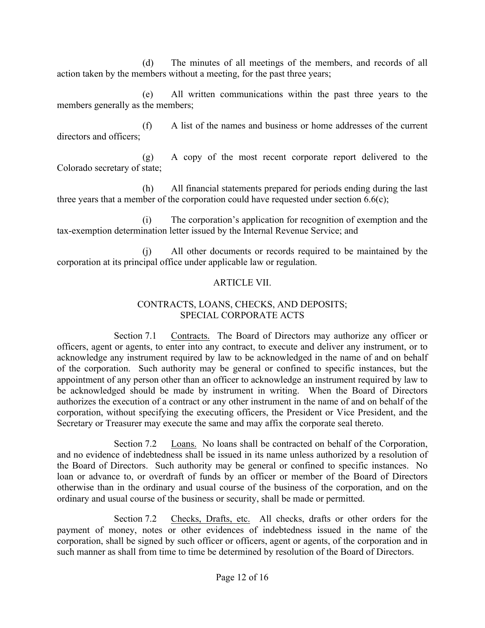(d) The minutes of all meetings of the members, and records of all action taken by the members without a meeting, for the past three years;

(e) All written communications within the past three years to the members generally as the members;

(f) A list of the names and business or home addresses of the current directors and officers;

(g) A copy of the most recent corporate report delivered to the Colorado secretary of state;

(h) All financial statements prepared for periods ending during the last three years that a member of the corporation could have requested under section 6.6(c);

(i) The corporation's application for recognition of exemption and the tax-exemption determination letter issued by the Internal Revenue Service; and

(j) All other documents or records required to be maintained by the corporation at its principal office under applicable law or regulation.

## ARTICLE VII.

## CONTRACTS, LOANS, CHECKS, AND DEPOSITS; SPECIAL CORPORATE ACTS

Section 7.1 Contracts. The Board of Directors may authorize any officer or officers, agent or agents, to enter into any contract, to execute and deliver any instrument, or to acknowledge any instrument required by law to be acknowledged in the name of and on behalf of the corporation. Such authority may be general or confined to specific instances, but the appointment of any person other than an officer to acknowledge an instrument required by law to be acknowledged should be made by instrument in writing. When the Board of Directors authorizes the execution of a contract or any other instrument in the name of and on behalf of the corporation, without specifying the executing officers, the President or Vice President, and the Secretary or Treasurer may execute the same and may affix the corporate seal thereto.

Section 7.2 Loans. No loans shall be contracted on behalf of the Corporation, and no evidence of indebtedness shall be issued in its name unless authorized by a resolution of the Board of Directors. Such authority may be general or confined to specific instances. No loan or advance to, or overdraft of funds by an officer or member of the Board of Directors otherwise than in the ordinary and usual course of the business of the corporation, and on the ordinary and usual course of the business or security, shall be made or permitted.

Section 7.2 Checks, Drafts, etc. All checks, drafts or other orders for the payment of money, notes or other evidences of indebtedness issued in the name of the corporation, shall be signed by such officer or officers, agent or agents, of the corporation and in such manner as shall from time to time be determined by resolution of the Board of Directors.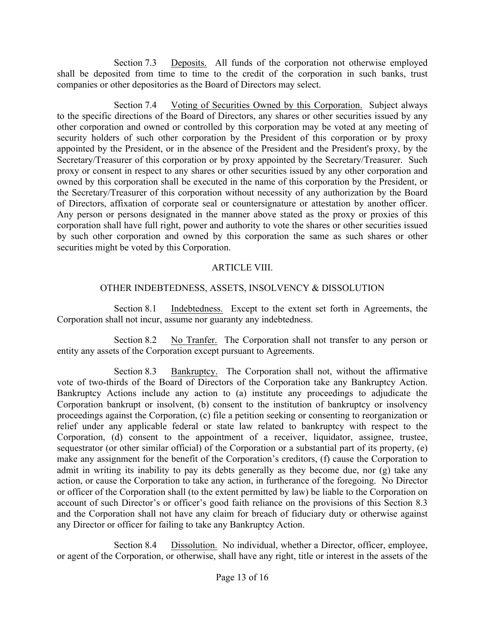Section 7.3 Deposits. All funds of the corporation not otherwise employed shall be deposited from time to time to the credit of the corporation in such banks, trust companies or other depositories as the Board of Directors may select.

Section 7.4 Voting of Securities Owned by this Corporation. Subject always to the specific directions of the Board of Directors, any shares or other securities issued by any other corporation and owned or controlled by this corporation may be voted at any meeting of security holders of such other corporation by the President of this corporation or by proxy appointed by the President, or in the absence of the President and the President's proxy, by the Secretary/Treasurer of this corporation or by proxy appointed by the Secretary/Treasurer. Such proxy or consent in respect to any shares or other securities issued by any other corporation and owned by this corporation shall be executed in the name of this corporation by the President, or the Secretary/Treasurer of this corporation without necessity of any authorization by the Board of Directors, affixation of corporate seal or countersignature or attestation by another officer. Any person or persons designated in the manner above stated as the proxy or proxies of this corporation shall have full right, power and authority to vote the shares or other securities issued by such other corporation and owned by this corporation the same as such shares or other securities might be voted by this Corporation.

## ARTICLE VIII.

# OTHER INDEBTEDNESS, ASSETS, INSOLVENCY & DISSOLUTION

Section 8.1 Indebtedness. Except to the extent set forth in Agreements, the Corporation shall not incur, assume nor guaranty any indebtedness.

Section 8.2 No Tranfer. The Corporation shall not transfer to any person or entity any assets of the Corporation except pursuant to Agreements.

Section 8.3 Bankruptcy. The Corporation shall not, without the affirmative vote of two-thirds of the Board of Directors of the Corporation take any Bankruptcy Action. Bankruptcy Actions include any action to (a) institute any proceedings to adjudicate the Corporation bankrupt or insolvent, (b) consent to the institution of bankruptcy or insolvency proceedings against the Corporation, (c) file a petition seeking or consenting to reorganization or relief under any applicable federal or state law related to bankruptcy with respect to the Corporation, (d) consent to the appointment of a receiver, liquidator, assignee, trustee, sequestrator (or other similar official) of the Corporation or a substantial part of its property, (e) make any assignment for the benefit of the Corporation's creditors, (f) cause the Corporation to admit in writing its inability to pay its debts generally as they become due, nor (g) take any action, or cause the Corporation to take any action, in furtherance of the foregoing. No Director or officer of the Corporation shall (to the extent permitted by law) be liable to the Corporation on account of such Director's or officer's good faith reliance on the provisions of this Section 8.3 and the Corporation shall not have any claim for breach of fiduciary duty or otherwise against any Director or officer for failing to take any Bankruptcy Action.

Section 8.4 Dissolution. No individual, whether a Director, officer, employee, or agent of the Corporation, or otherwise, shall have any right, title or interest in the assets of the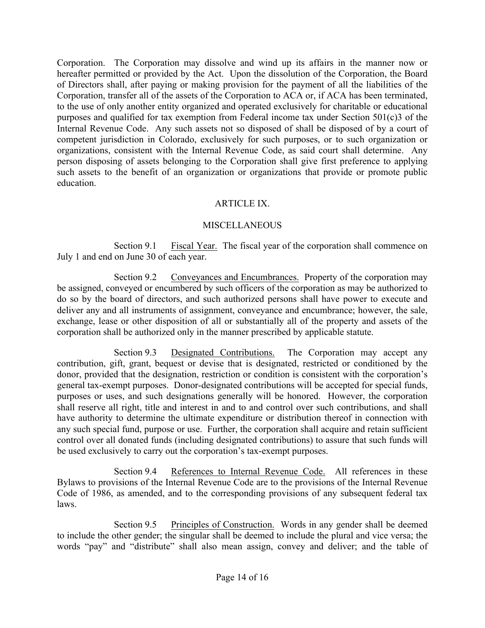Corporation. The Corporation may dissolve and wind up its affairs in the manner now or hereafter permitted or provided by the Act. Upon the dissolution of the Corporation, the Board of Directors shall, after paying or making provision for the payment of all the liabilities of the Corporation, transfer all of the assets of the Corporation to ACA or, if ACA has been terminated, to the use of only another entity organized and operated exclusively for charitable or educational purposes and qualified for tax exemption from Federal income tax under Section 501(c)3 of the Internal Revenue Code. Any such assets not so disposed of shall be disposed of by a court of competent jurisdiction in Colorado, exclusively for such purposes, or to such organization or organizations, consistent with the Internal Revenue Code, as said court shall determine. Any person disposing of assets belonging to the Corporation shall give first preference to applying such assets to the benefit of an organization or organizations that provide or promote public education.

# ARTICLE IX.

## **MISCELLANEOUS**

Section 9.1 Fiscal Year. The fiscal year of the corporation shall commence on July 1 and end on June 30 of each year.

Section 9.2 Conveyances and Encumbrances. Property of the corporation may be assigned, conveyed or encumbered by such officers of the corporation as may be authorized to do so by the board of directors, and such authorized persons shall have power to execute and deliver any and all instruments of assignment, conveyance and encumbrance; however, the sale, exchange, lease or other disposition of all or substantially all of the property and assets of the corporation shall be authorized only in the manner prescribed by applicable statute.

Section 9.3 Designated Contributions. The Corporation may accept any contribution, gift, grant, bequest or devise that is designated, restricted or conditioned by the donor, provided that the designation, restriction or condition is consistent with the corporation's general tax-exempt purposes. Donor-designated contributions will be accepted for special funds, purposes or uses, and such designations generally will be honored. However, the corporation shall reserve all right, title and interest in and to and control over such contributions, and shall have authority to determine the ultimate expenditure or distribution thereof in connection with any such special fund, purpose or use. Further, the corporation shall acquire and retain sufficient control over all donated funds (including designated contributions) to assure that such funds will be used exclusively to carry out the corporation's tax-exempt purposes.

Section 9.4 References to Internal Revenue Code. All references in these Bylaws to provisions of the Internal Revenue Code are to the provisions of the Internal Revenue Code of 1986, as amended, and to the corresponding provisions of any subsequent federal tax laws.

Section 9.5 Principles of Construction. Words in any gender shall be deemed to include the other gender; the singular shall be deemed to include the plural and vice versa; the words "pay" and "distribute" shall also mean assign, convey and deliver; and the table of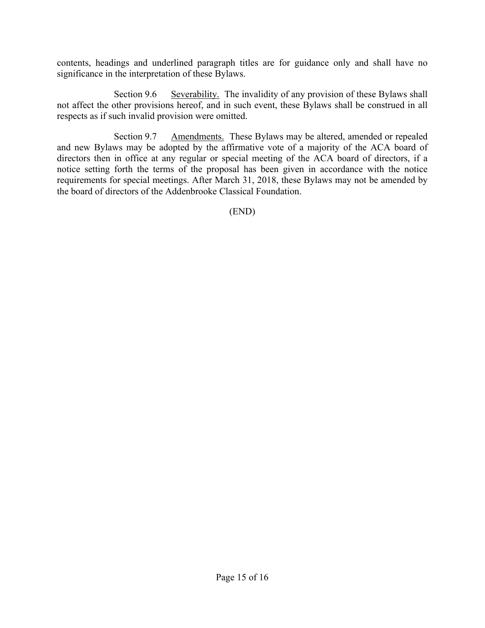contents, headings and underlined paragraph titles are for guidance only and shall have no significance in the interpretation of these Bylaws.

Section 9.6 Severability. The invalidity of any provision of these Bylaws shall not affect the other provisions hereof, and in such event, these Bylaws shall be construed in all respects as if such invalid provision were omitted.

Section 9.7 Amendments. These Bylaws may be altered, amended or repealed and new Bylaws may be adopted by the affirmative vote of a majority of the ACA board of directors then in office at any regular or special meeting of the ACA board of directors, if a notice setting forth the terms of the proposal has been given in accordance with the notice requirements for special meetings. After March 31, 2018, these Bylaws may not be amended by the board of directors of the Addenbrooke Classical Foundation.

(END)